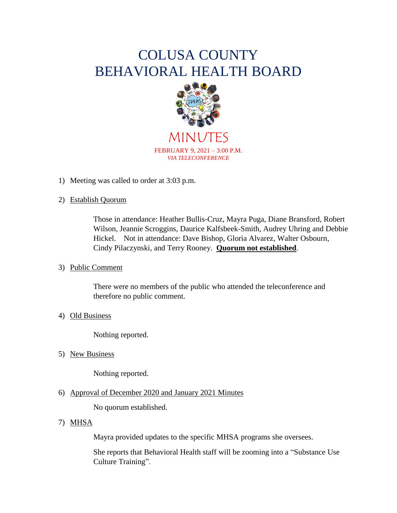# COLUSA COUNTY BEHAVIORAL HEALTH BOARD



MINUTES FEBRUARY 9, 2021 – 3:00 P.M. *VIA TELECONFERENCE*

1) Meeting was called to order at 3:03 p.m.

# 2) Establish Quorum

Those in attendance: Heather Bullis-Cruz, Mayra Puga, Diane Bransford, Robert Wilson, Jeannie Scroggins, Daurice Kalfsbeek-Smith, Audrey Uhring and Debbie Hickel. Not in attendance: Dave Bishop, Gloria Alvarez, Walter Osbourn, Cindy Pilaczynski, and Terry Rooney. **Quorum not established**.

# 3) Public Comment

There were no members of the public who attended the teleconference and therefore no public comment.

# 4) Old Business

Nothing reported.

5) New Business

Nothing reported.

# 6) Approval of December 2020 and January 2021 Minutes

No quorum established.

# 7) MHSA

Mayra provided updates to the specific MHSA programs she oversees.

She reports that Behavioral Health staff will be zooming into a "Substance Use Culture Training".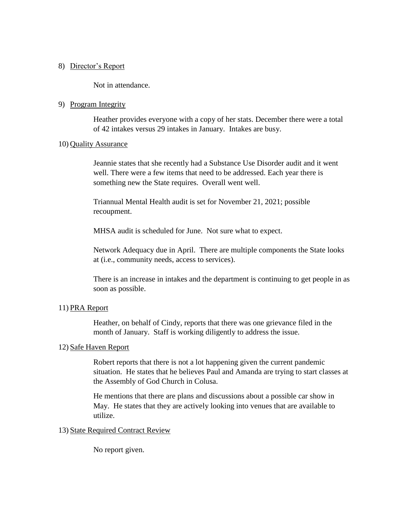#### 8) Director's Report

Not in attendance.

#### 9) Program Integrity

Heather provides everyone with a copy of her stats. December there were a total of 42 intakes versus 29 intakes in January. Intakes are busy.

#### 10) Quality Assurance

Jeannie states that she recently had a Substance Use Disorder audit and it went well. There were a few items that need to be addressed. Each year there is something new the State requires. Overall went well.

Triannual Mental Health audit is set for November 21, 2021; possible recoupment.

MHSA audit is scheduled for June. Not sure what to expect.

Network Adequacy due in April. There are multiple components the State looks at (i.e., community needs, access to services).

There is an increase in intakes and the department is continuing to get people in as soon as possible.

# 11) PRA Report

Heather, on behalf of Cindy, reports that there was one grievance filed in the month of January. Staff is working diligently to address the issue.

# 12) Safe Haven Report

Robert reports that there is not a lot happening given the current pandemic situation. He states that he believes Paul and Amanda are trying to start classes at the Assembly of God Church in Colusa.

He mentions that there are plans and discussions about a possible car show in May. He states that they are actively looking into venues that are available to utilize.

# 13) State Required Contract Review

No report given.